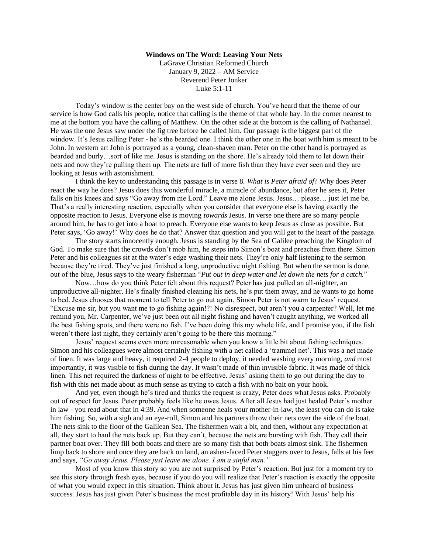## **Windows on The Word: Leaving Your Nets**

LaGrave Christian Reformed Church January 9, 2022 – AM Service Reverend Peter Jonker Luke 5:1-11

Today's window is the center bay on the west side of church. You've heard that the theme of our service is how God calls his people, notice that calling is the theme of that whole bay. In the corner nearest to me at the bottom you have the calling of Matthew. On the other side at the bottom is the calling of Nathanael. He was the one Jesus saw under the fig tree before he called him. Our passage is the biggest part of the window. It's Jesus calling Peter - he's the bearded one. I think the other one in the boat with him is meant to be John. In western art John is portrayed as a young, clean-shaven man. Peter on the other hand is portrayed as bearded and burly…sort of like me. Jesus is standing on the shore. He's already told them to let down their nets and now they're pulling them up. The nets are full of more fish than they have ever seen and they are looking at Jesus with astonishment.

I think the key to understanding this passage is in verse 8. *What is Peter afraid of*? Why does Peter react the way he does? Jesus does this wonderful miracle, a miracle of abundance, but after he sees it, Peter falls on his knees and says "Go away from me Lord." Leave me alone Jesus. Jesus… please… just let me be. That's a really interesting reaction, especially when you consider that everyone else is having exactly the opposite reaction to Jesus. Everyone else is moving *towards* Jesus. In verse one there are so many people around him, he has to get into a boat to preach. Everyone else wants to keep Jesus as close as possible. But Peter says, 'Go away!' Why does he do that? Answer that question and you will get to the heart of the passage.

The story starts innocently enough. Jesus is standing by the Sea of Galilee preaching the Kingdom of God. To make sure that the crowds don't mob him, he steps into Simon's boat and preaches from there. Simon Peter and his colleagues sit at the water's edge washing their nets. They're only half listening to the sermon because they're tired. They've just finished a long, unproductive night fishing. But when the sermon is done, out of the blue, Jesus says to the weary fisherman "*Put out in deep water and let down the nets for a catch.*"

Now…how do you think Peter felt about this request? Peter has just pulled an all-nighter, an unproductive all-nighter. He's finally finished cleaning his nets, he's put them away, and he wants to go home to bed. Jesus chooses that moment to tell Peter to go out again. Simon Peter is not warm to Jesus' request. "Excuse me sir, but you want me to go fishing again!?! No disrespect, but aren't you a carpenter? Well, let me remind you, Mr. Carpenter, we've just been out all night fishing and haven't caught anything, we worked all the best fishing spots, and there were no fish. I've been doing this my whole life, and I promise you, if the fish weren't there last night, they certainly aren't going to be there this morning."

Jesus' request seems even more unreasonable when you know a little bit about fishing techniques. Simon and his colleagues were almost certainly fishing with a net called a 'trammel net'. This was a net made of linen. It was large and heavy, it required 2-4 people to deploy, it needed washing every morning, *and* most importantly, it was visible to fish during the day. It wasn't made of thin invisible fabric. It was made of thick linen. This net required the darkness of night to be effective. Jesus' asking them to go out during the day to fish with this net made about as much sense as trying to catch a fish with no bait on your hook.

And yet, even though he's tired and thinks the request is crazy, Peter does what Jesus asks. Probably out of respect for Jesus. Peter probably feels like he owes Jesus. After all Jesus had just healed Peter's mother in law - you read about that in 4:39. And when someone heals your mother-in-law, the least you can do is take him fishing. So, with a sigh and an eye-roll, Simon and his partners throw their nets over the side of the boat. The nets sink to the floor of the Galilean Sea. The fishermen wait a bit, and then, without any expectation at all, they start to haul the nets back up. But they can't, because the nets are bursting with fish. They call their partner boat over. They fill both boats and there are so many fish that both boats almost sink. The fishermen limp back to shore and once they are back on land, an ashen-faced Peter staggers over to Jesus, falls at his feet and says, *"Go away Jesus. Please just leave me alone. I am a sinful man."*

Most of you know this story so you are not surprised by Peter's reaction. But just for a moment try to see this story through fresh eyes, because if you do you will realize that Peter's reaction is exactly the opposite of what you would expect in this situation. Think about it. Jesus has just given him unheard of business success. Jesus has just given Peter's business the most profitable day in its history! With Jesus' help his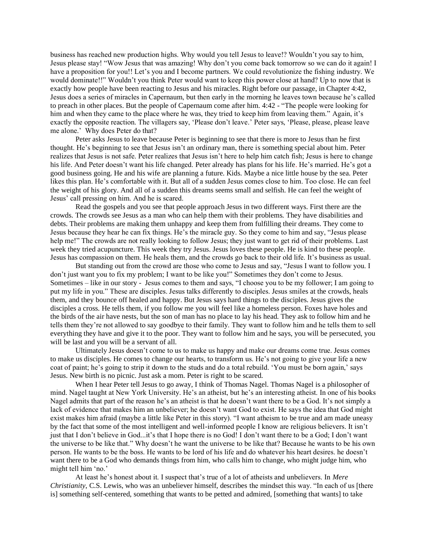business has reached new production highs. Why would you tell Jesus to leave!? Wouldn't you say to him, Jesus please stay! "Wow Jesus that was amazing! Why don't you come back tomorrow so we can do it again! I have a proposition for you!! Let's you and I become partners. We could revolutionize the fishing industry. We would dominate!!" Wouldn't you think Peter would want to keep this power close at hand? Up to now that is exactly how people have been reacting to Jesus and his miracles. Right before our passage, in Chapter 4:42, Jesus does a series of miracles in Capernaum, but then early in the morning he leaves town because he's called to preach in other places. But the people of Capernaum come after him. 4:42 - "The people were looking for him and when they came to the place where he was, they tried to keep him from leaving them." Again, it's exactly the opposite reaction. The villagers say, 'Please don't leave.' Peter says, 'Please, please, please leave me alone.' Why does Peter do that?

Peter asks Jesus to leave because Peter is beginning to see that there is more to Jesus than he first thought. He's beginning to see that Jesus isn't an ordinary man, there is something special about him. Peter realizes that Jesus is not safe. Peter realizes that Jesus isn't here to help him catch fish; Jesus is here to change his life. And Peter doesn't want his life changed. Peter already has plans for his life. He's married. He's got a good business going. He and his wife are planning a future. Kids. Maybe a nice little house by the sea. Peter likes this plan. He's comfortable with it. But all of a sudden Jesus comes close to him. Too close. He can feel the weight of his glory. And all of a sudden this dreams seems small and selfish. He can feel the weight of Jesus' call pressing on him. And he is scared.

Read the gospels and you see that people approach Jesus in two different ways. First there are the crowds. The crowds see Jesus as a man who can help them with their problems. They have disabilities and debts. Their problems are making them unhappy and keep them from fulfilling their dreams. They come to Jesus because they hear he can fix things. He's the miracle guy. So they come to him and say, "Jesus please help me!" The crowds are not really looking to follow Jesus; they just want to get rid of their problems. Last week they tried acupuncture. This week they try Jesus. Jesus loves these people. He is kind to these people. Jesus has compassion on them. He heals them, and the crowds go back to their old life. It's business as usual.

But standing out from the crowd are those who come to Jesus and say, "Jesus I want to follow you. I don't just want you to fix my problem; I want to be like you!" Sometimes they don't come to Jesus. Sometimes – like in our story - Jesus comes to them and says, "I choose you to be my follower; I am going to put my life in you." These are disciples. Jesus talks differently to disciples. Jesus smiles at the crowds, heals them, and they bounce off healed and happy. But Jesus says hard things to the disciples. Jesus gives the disciples a cross. He tells them, if you follow me you will feel like a homeless person. Foxes have holes and the birds of the air have nests, but the son of man has no place to lay his head. They ask to follow him and he tells them they're not allowed to say goodbye to their family. They want to follow him and he tells them to sell everything they have and give it to the poor. They want to follow him and he says, you will be persecuted, you will be last and you will be a servant of all.

Ultimately Jesus doesn't come to us to make us happy and make our dreams come true. Jesus comes to make us disciples. He comes to change our hearts, to transform us. He's not going to give your life a new coat of paint; he's going to strip it down to the studs and do a total rebuild. 'You must be born again,' says Jesus. New birth is no picnic. Just ask a mom. Peter is right to be scared.

When I hear Peter tell Jesus to go away, I think of Thomas Nagel. Thomas Nagel is a philosopher of mind. Nagel taught at New York University. He's an atheist, but he's an interesting atheist. In one of his books Nagel admits that part of the reason he's an atheist is that he doesn't want there to be a God. It's not simply a lack of evidence that makes him an unbeliever; he doesn't want God to exist. He says the idea that God might exist makes him afraid (maybe a little like Peter in this story). "I want atheism to be true and am made uneasy by the fact that some of the most intelligent and well-informed people I know are religious believers. It isn't just that I don't believe in God...it's that I hope there is no God! I don't want there to be a God; I don't want the universe to be like that." Why doesn't he want the universe to be like that? Because he wants to be his own person. He wants to be the boss. He wants to be lord of his life and do whatever his heart desires. he doesn't want there to be a God who demands things from him, who calls him to change, who might judge him, who might tell him 'no.'

At least he's honest about it. I suspect that's true of a lot of atheists and unbelievers. In *Mere Christianity*, C.S. Lewis, who was an unbeliever himself, describes the mindset this way. "In each of us [there is] something self-centered, something that wants to be petted and admired, [something that wants] to take